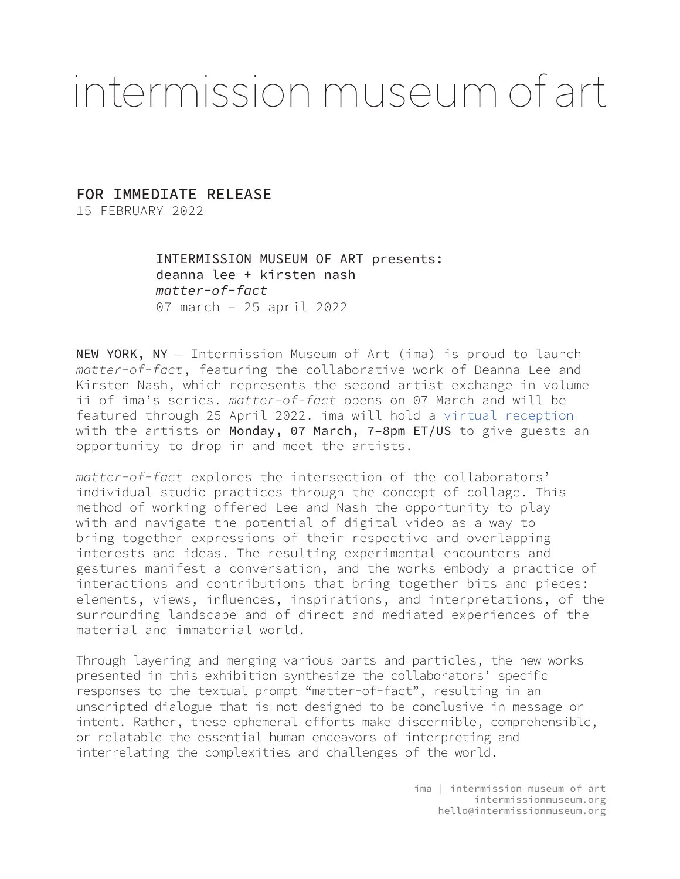# intermission museum of art

# FOR IMMEDIATE RELEASE

15 FEBRUARY 2022

INTERMISSION MUSEUM OF ART presents: deanna lee + kirsten nash *matter-of-fact* 07 march – 25 april 2022

NEW YORK, NY — Intermission Museum of Art (ima) is proud to launch *matter-of-fact*, featuring the collaborative work of Deanna Lee and Kirsten Nash, which represents the second artist exchange in volume ii of ima's series. *matter-of-fact* opens on 07 March and will be featured through 25 April 2022. ima will hold a [virtual reception](https://us02web.zoom.us/j/81476333894?pwd=SEhEa3pUTTFUR1BWOXByZmtEemsxdz09) with the artists on Monday, 07 March, 7-8pm ET/US to give guests an opportunity to drop in and meet the artists.

*matter-of-fact* explores the intersection of the collaborators' individual studio practices through the concept of collage. This method of working offered Lee and Nash the opportunity to play with and navigate the potential of digital video as a way to bring together expressions of their respective and overlapping interests and ideas. The resulting experimental encounters and gestures manifest a conversation, and the works embody a practice of interactions and contributions that bring together bits and pieces: elements, views, influences, inspirations, and interpretations, of the surrounding landscape and of direct and mediated experiences of the material and immaterial world.

Through layering and merging various parts and particles, the new works presented in this exhibition synthesize the collaborators' specific responses to the textual prompt "matter-of-fact", resulting in an unscripted dialogue that is not designed to be conclusive in message or intent. Rather, these ephemeral efforts make discernible, comprehensible, or relatable the essential human endeavors of interpreting and interrelating the complexities and challenges of the world.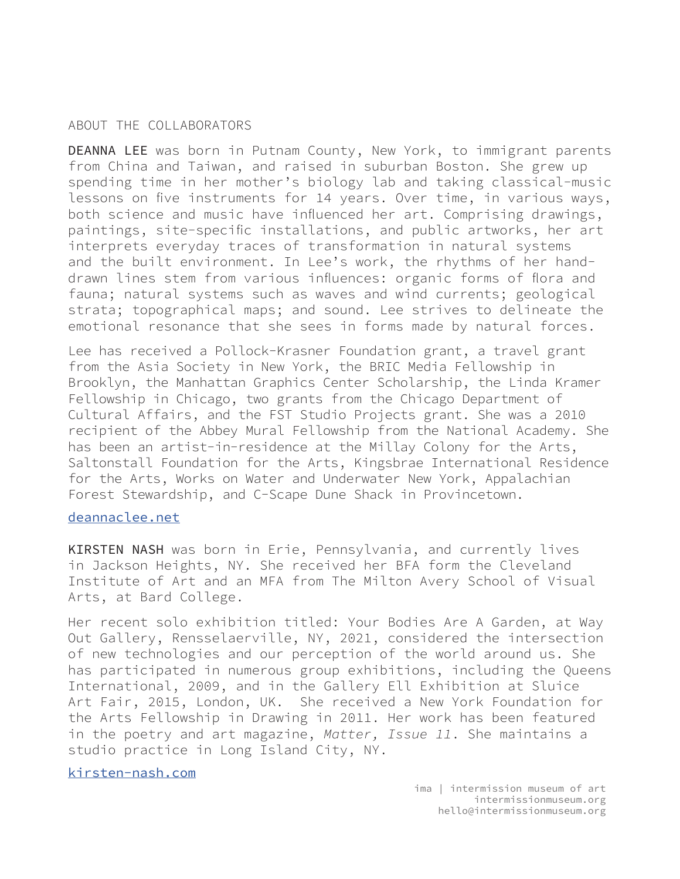# ABOUT THE COLLABORATORS

DEANNA LEE was born in Putnam County, New York, to immigrant parents from China and Taiwan, and raised in suburban Boston. She grew up spending time in her mother's biology lab and taking classical-music lessons on five instruments for 14 years. Over time, in various ways, both science and music have influenced her art. Comprising drawings, paintings, site-specific installations, and public artworks, her art interprets everyday traces of transformation in natural systems and the built environment. In Lee's work, the rhythms of her handdrawn lines stem from various influences: organic forms of flora and fauna; natural systems such as waves and wind currents; geological strata; topographical maps; and sound. Lee strives to delineate the emotional resonance that she sees in forms made by natural forces.

Lee has received a Pollock-Krasner Foundation grant, a travel grant from the Asia Society in New York, the BRIC Media Fellowship in Brooklyn, the Manhattan Graphics Center Scholarship, the Linda Kramer Fellowship in Chicago, two grants from the Chicago Department of Cultural Affairs, and the FST Studio Projects grant. She was a 2010 recipient of the Abbey Mural Fellowship from the National Academy. She has been an artist-in-residence at the Millay Colony for the Arts, Saltonstall Foundation for the Arts, Kingsbrae International Residence for the Arts, Works on Water and Underwater New York, Appalachian Forest Stewardship, and C-Scape Dune Shack in Provincetown.

#### [deannaclee.net](https://deannaclee.net/)

KIRSTEN NASH was born in Erie, Pennsylvania, and currently lives in Jackson Heights, NY. She received her BFA form the Cleveland Institute of Art and an MFA from The Milton Avery School of Visual Arts, at Bard College.

Her recent solo exhibition titled: Your Bodies Are A Garden, at Way Out Gallery, Rensselaerville, NY, 2021, considered the intersection of new technologies and our perception of the world around us. She has participated in numerous group exhibitions, including the Queens International, 2009, and in the Gallery Ell Exhibition at Sluice Art Fair, 2015, London, UK. She received a New York Foundation for the Arts Fellowship in Drawing in 2011. Her work has been featured in the poetry and art magazine, *Matter, Issue 11*. She maintains a studio practice in Long Island City, NY.

# [kirsten-nash.com](https://kirsten-nash.com/home.html)